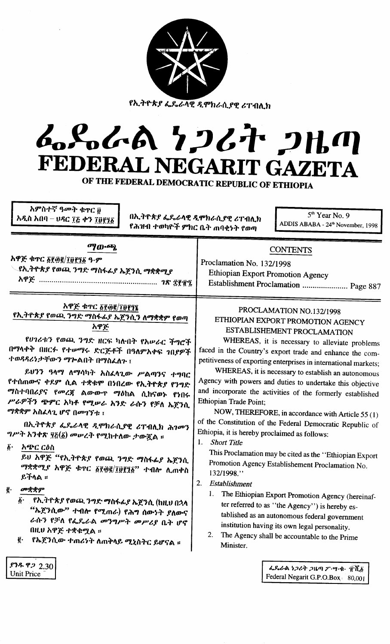| አምስተኛ ዓመት ቁዋር <u>፱</u><br>አዲስ አበባ – ሀዳር ፲፭ ቀን ፲፱፻፺፩<br>የሕዝብ ተወካዮች ምክር ቤት ጠባቂነት የወጣ                                                                                                                                                                                                                                                                                                                                                       | የኢትዮጵያ ፌዴራላዊ ዲሞክራሲያዊ ሪፐብሊክ<br>6.8.6A 7267 2HM<br>FEDERAL NEGARIT GAZETA<br>OF THE FEDERAL DEMOCRATIC REPUBLIC OF ETHIOPIA<br>5 <sup>th</sup> Year No. 9<br>በኢትዮጵያ ፌዴራላዊ ዲሞክራሲያዊ ሪፐብሊክ<br>ADDIS ABABA - 24 <sup>th</sup> November, 1998                                                                                                                                                                                                                                                                                                                                       |
|------------------------------------------------------------------------------------------------------------------------------------------------------------------------------------------------------------------------------------------------------------------------------------------------------------------------------------------------------------------------------------------------------------------------------------------|------------------------------------------------------------------------------------------------------------------------------------------------------------------------------------------------------------------------------------------------------------------------------------------------------------------------------------------------------------------------------------------------------------------------------------------------------------------------------------------------------------------------------------------------------------------------------|
| ማውጫ                                                                                                                                                                                                                                                                                                                                                                                                                                      | <b>CONTENTS</b>                                                                                                                                                                                                                                                                                                                                                                                                                                                                                                                                                              |
| አዋጅ ቁጥር ፩፻፴፪/፲፱፻፺፩ ዓ.ም                                                                                                                                                                                                                                                                                                                                                                                                                   | Proclamation No. 132/1998                                                                                                                                                                                                                                                                                                                                                                                                                                                                                                                                                    |
| <b>\_የኢትዮጵያ የወጪ ንግድ ማስፋፊያ ኤጀንሲ ማቋቋሚያ</b>                                                                                                                                                                                                                                                                                                                                                                                                 | <b>Ethiopian Export Promotion Agency</b>                                                                                                                                                                                                                                                                                                                                                                                                                                                                                                                                     |
|                                                                                                                                                                                                                                                                                                                                                                                                                                          | Establishment Proclamation  Page 887                                                                                                                                                                                                                                                                                                                                                                                                                                                                                                                                         |
| አዋጅ ቁጥር ፩፻፴፪/፲፱፻፺፯                                                                                                                                                                                                                                                                                                                                                                                                                       | PROCLAMATION NO.132/1998                                                                                                                                                                                                                                                                                                                                                                                                                                                                                                                                                     |
| የኢትዮጵያ የወጪ ንግድ ማስፋፊያ ኤጀንሲን ለማቋቋም የወጣ                                                                                                                                                                                                                                                                                                                                                                                                     | ETHIOPIAN EXPORT PROMOTION AGENCY                                                                                                                                                                                                                                                                                                                                                                                                                                                                                                                                            |
| አዋጅ                                                                                                                                                                                                                                                                                                                                                                                                                                      | ESTABLISHEMENT PROCLAMATION                                                                                                                                                                                                                                                                                                                                                                                                                                                                                                                                                  |
| የሀገሪቱን የወጪ ንግድ ዘርፍ ካሱበት የአሥራር ችግሮች                                                                                                                                                                                                                                                                                                                                                                                                       | WHEREAS, it is necessary to alleviate problems                                                                                                                                                                                                                                                                                                                                                                                                                                                                                                                               |
| በማላቀቅ በዘርፉ የተሥማሩ ድርጅቶች በዓለምአቀፍ ንበያዎች                                                                                                                                                                                                                                                                                                                                                                                                     | faced in the Country's export trade and enhance the com-                                                                                                                                                                                                                                                                                                                                                                                                                                                                                                                     |
| ተወዳዳሪነታቸውን ማኰልበት በማስፈለጉ ፤                                                                                                                                                                                                                                                                                                                                                                                                                | petitiveness of exporting enterprises in international markets;                                                                                                                                                                                                                                                                                                                                                                                                                                                                                                              |
| ይህንን ዓላማ ለማሳካት አስፈላጊው ሥልጣንና ተግባር                                                                                                                                                                                                                                                                                                                                                                                                         | WHEREAS, it is necessary to establish an autonomous                                                                                                                                                                                                                                                                                                                                                                                                                                                                                                                          |
| የተሰጠውና ቀደም ሲል ተቋቁሞ በነበረው የኢትዮጵያ የንግድ                                                                                                                                                                                                                                                                                                                                                                                                     | Agency with powers and duties to undertake this objective                                                                                                                                                                                                                                                                                                                                                                                                                                                                                                                    |
| <i>ግ</i> ስተባበሪያና የመረጃ ልውውጥ ማዕከል ሲከናወኑ የነበሩ                                                                                                                                                                                                                                                                                                                                                                                               | and incorporate the activities of the formerly established                                                                                                                                                                                                                                                                                                                                                                                                                                                                                                                   |
| ሥራዎችን ጭምር አካቶ የሚሥራ አንድ ራሱን የቻለ ኤጀንሲ                                                                                                                                                                                                                                                                                                                                                                                                      | Ethiopian Trade Point;                                                                                                                                                                                                                                                                                                                                                                                                                                                                                                                                                       |
| ማቋቋም አስፈላጊ ሆኖ በመገኘቱ ፤                                                                                                                                                                                                                                                                                                                                                                                                                    | NOW, THEREFORE, in accordance with Article 55 (1)                                                                                                                                                                                                                                                                                                                                                                                                                                                                                                                            |
| በኢትዮጵያ ፌዴራላዊ ዲሞክራሲያዊ ሪፐብሊክ ሕገመን<br><i>ግሥት አንቀጽ ፶</i> ፩(፩) መሥረት የሚከተለው ታውጇል ፡፡<br>$\boldsymbol{\delta}$ .<br>አጭር ርዕስ<br>ይህ አዋጅ "የኢትዮጵያ የወጪ ንግድ ማስፋፊያ ኤጀንሲ<br>ማቋቋሚያ አዋጅ ቁዋር ፩፻፴፪/፲፱፻፺፩" ተብሎ ሊጠቀስ<br>ይችላል ።<br>መቋቋም<br>ĝ.<br>$\vec{b}$ .<br>୍ የኢ <i>ት</i> ዮጵ <i>ያ</i> የወጪ ንግድ ማስፋፊያ ኤጀንሲ (ከዚህ በኋላ<br>"ኤጀንሲው" ተብሎ የሚጠራ) የሕግ ሰውነት ያለውና<br>ራሱን የቻለ የፌዴራል መንግሥት መሥሪያ ቤት ሆኖ<br>በዚህ አዋጅ ተቋቁሟል ።<br><u>ë</u> ٠<br>የኤጀንሲው ተጠሪነት ለጠቅላይ ሚኒስትር ይሆናል ፡፡ | of the Constitution of the Federal Democratic Republic of<br>Ethiopia, it is hereby proclaimed as follows:<br>1.<br><b>Short Title</b><br>This Proclamation may be cited as the "Ethiopian Export"<br>Promotion Agency Establishement Proclamation No.<br>132/1998."<br>2.<br>Establishment<br>The Ethiopian Export Promotion Agency (hereinaf-<br>1.<br>ter referred to as "the Agency") is hereby es-<br>tablished as an autonomous federal government<br>institution having its own legal personality.<br>2.<br>The Agency shall be accountable to the Prime<br>Minister. |
| \$78922.30                                                                                                                                                                                                                                                                                                                                                                                                                               | んくんへ トフィオ フルの ブ・ツ・キ・ 京元音                                                                                                                                                                                                                                                                                                                                                                                                                                                                                                                                                     |
| <b>Unit Price</b>                                                                                                                                                                                                                                                                                                                                                                                                                        | Federal Negarit G.P.O.Box 80,001                                                                                                                                                                                                                                                                                                                                                                                                                                                                                                                                             |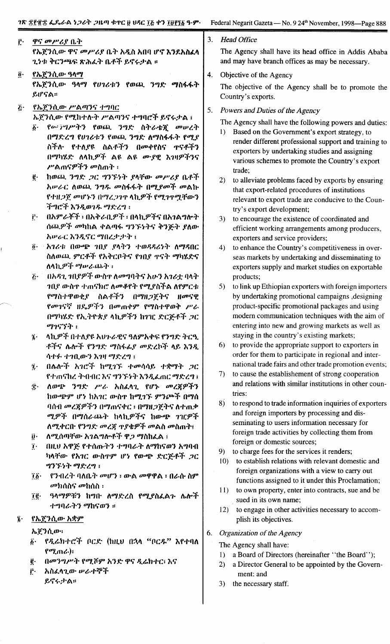f.' 3. *Head Office* Country's exports.  $\boldsymbol{\tilde{0}}$ . ዋና መሥሪያ ቤት fh.~1fl.OJ' '1''1 ODP'~.f 0.'-" *1\Jth* MI'1Iftj *~1S'.1\hLI\* 1..'1-1:*:"C:16bJ.~*?\;J,.L:" o..,.:f *f,tj~;rA* :: የኤጀንሲው ዓላማ የኤጀንሲው ዓላማ የ**ሀ**ገሪቱን የወጪ ንግድ ማስፋፋት  $f, f, g$ : የኤጀንሲው ሥልጣንና ተግባር *ኤ*ጀንሲው የሚከተሉት ሥልጣንና ተግባሮች ይኖሩታል ፤  $\delta$ · *የውንግሥትን የወ*ጪ *ንግ*ድ ስትራቴጀ መሠረት በማድረግ የሀገሪቱን የወጪ ንግድ ለማስፋፋት የሚያ ስችሉ የተለያዩ ስልቶችን በመቀየስና ተናቶችን በማካሄድ ለላኪ*ዎች* ልዩ ልዩ ሙያዊ እንዛዎችንና P'Am'l9>:f1 *ODhm')'* : <u>፪</u>· ከወጨ ንግድ *ጋ*ር ግንኙነት ያላቸው መሥሪያ ቤቶች *አሡራር ሲወ*ጨ *ንግዱ መስ*ፋፋት በሚ*ያመች መ*ልኩ የተዘ*ጋ*ጀ መሆኑን በማረጋገዋ ላኪዎች የሚገጥሟቸውን -:'''.'''C::f *~1Jt,OJ1P,. u'/Y,:I.'"* ;  $f$ : በአምራቾች ፣ በአቅራቢዎች ፣ በላኪዎችና በአገልግሎት ሰጨዎች መካከል ቀልጣፋ ግንኙነትና ቅንጅት ያለው *1\1Pt..C* h1Jt,tjC *U?nl.;J-;J'''''* ;  $\tilde{g}$ · አ*ገሪቱ* በውጭ ገቢያ ያላትን ተወዳዳሪነት ለማዳበር ስለወጨ ምርቶች የአቅርቦትና የኀበያ ተናት ማካሄድና *1\1\*h.9>'.1. U?IP/..(,Ll.'} :  $\Sigma^*$  1 በአዳጊ ገቢያዎች ውስዋ ለመግባትና አሁን አገሪቷ ባላት ገበ $f$  ውስዋ ተጠናክሮ ለመቆየት የሚያስችል ለየምርቱ የማስተዋወቂያ ስልቶችን በማዘ*ጋ*ጀትና ዘ*መ*ናዊ fOD'I'l~ *IIYv9>i".'}* tlODm.,.r fU?il1'tpw:" *P't. በማካሄድ የኢትዮጵያ ላኪዎችን ከገገር ድርጅቶች ጋር U?1c;1:"* :  $i$  - ለኪዎች በተለያዩ አህንራዊና ዓለምአቀፍ የንግድ ትርዒ .f-:fCj */bt\<>i'* f1..,Y: U?il~&..f OD~l.tt:f *I\f, h1Jt,* 1)1,4. *'1'1(1.OJ'1* h1" *U</~I.'"* ;  $\tilde{a}$ : በሌሎች አገሮች ከሚገኙ ተመሳሳይ ተቋማት *ጋ*ር f'hn'lhl. .)-.n.f1C *hCj* "'Tf.~')- *h1JtLmC U?~I.'"* I  $\tilde{x}$ · ለወጭ ንግድ ሥራ አስፈላጊ የሆኑ መረጀዎችን hOJ.6J.b9u ('~ h1\1C *OJ'il1'* h"7.1"f. r1(J'1>:f nU?ft *ባስብ መረጀዎችን በማ*ጠናቀር ፣ በማዘ*ጋ*ጀትና ለተጠቃ ሚዎች በማሰራጨት ከላኪዎችና ከውጭ ገዢዎች ለሚቀርቡ የንግድ *መረጃ ጥያቄዎች መ*ልስ መስጠት፤  $\ddot{\bm{\mathsf{y}}}\cdot$  *ለሚ*ሰጣቸው አ*ገ*ልግሎቶች ዋ*ጋ* ማስከፈል ፣  $\tilde{\textbf{I}}_1 = 0$ ዚሀ አዋጅ የተሰጡትን ተግባራት ለማከናወን አግባብ *ካላቸው የአገር ውስጥም ሆነ የውጭ ድርጅቶች ጋር* ..,Tf. ~..,. *U?*~ *I...,* : *፲፩· የንብረት* ባለቤ*ት መሆን ፡ ውል መዋዋል ፡ በራ*ሱ ስም  $\omega$ ክስስና  $\omega$ ከሰስ ፡ *፲*፪· ዓላማዎቹን ከግቡ ለማድረስ የሚያስፈልጉ ሌሎች *ተግባራትን ማ*ከናወን ፡፡ <u>የኤጀንሲው አቋም</u> *h.~~1fl.OJ':*  $\tilde{\beta}$ · *የዲሬክተሮች ቦርድ* (ከዚህ በኋላ "ቦር*ዱ*" እየተባለ  $f^{\sigma}Z_{n}$ ጠራ $\cdot$ ): <u>፪</u>· ሰመንግሥት የሚሾም አንድ ዋና ዲሬክተር፣ እና f.' 1\ilLI\'tOJ- *1P/...,.7f:f f,tj~;rA::*  $\ddot{c}$ trade; products; tries: ment: and

 $\tilde{\mathbf{z}}$  .

The Agency shall have its head office in Addis Ababa and may have branch offices as may be necessary.

4. Objective of the Agency

The objective of the Agency shall be to promote the

5. *Powers and Duties of the Agency*

The Agency shall have the following powers and duties:

- 1) Based on the Government's export strategy, to render different professional support and training to exporters by undertaking studies and assigning various schemes to promote the Country's export
- 2) to alleviate problems faced by exports by ensuring that export-related procedures of institutions relevant to export trade are conducive to the Country's export development;
- 3) to encourage the existence of coordinated and efficient working arrangements among producers, exporters and service providers;
- 4) to enhance the Country's competitiveness in overseas markets by undertaking and disseminating to exporters supply and market studies on exportable
- 5) to link up Ethiopian exporters with foreign importers by undertaking promotional campaigns ,designing product-specific promotional packages and using modem communication techniques with the aim of entering into new and growing markets as well as staying in the country's existing markets;
- 6) to provide the appropriate support to exporters in order for them to participate in regional and international trade fairs and other trade promotion events;
- 7) to cause the establishement of strong cooperation and relations with similar institutions in other coun-
- 8) to respond to trade information inquiries of exporters and foreign importers by processing and disseminating to users information necessary for foreign trade activities by collecting them from foreign or domestic sources;
- 9) to charge fees for the services it renders;
- 10) to establish relations with relevant domestic and foreign organizations with a view to carry out functions assigned to it under this Proclamation;
- 11) to own property, enter into contracts, sue and be sued in its own name;
- 12) to engage in other activities necessary to accomplish its objectives.
- 6. *Organization of the Agency*

The Agency shall have:

- 1) a Board of Directors (hereinafter "the Board");
- 2) a Director General to be appointed by the Govern-
- 3) the necessary staff.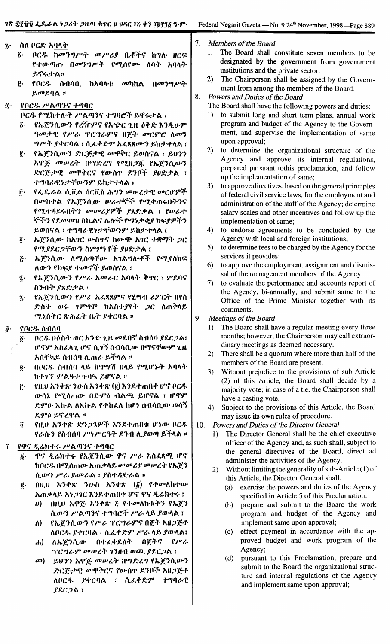| į٠ |                         | ስለ ቦርድ አባላት                                    | 7. | Mem                               |
|----|-------------------------|------------------------------------------------|----|-----------------------------------|
|    | δ.                      | ቦርዱ ከመንግሥት መሥሪያ ቤቶችና ከግሉ ዘርፍ                   |    | 1.<br>ŋ                           |
|    |                         | የተውጣጡ በመንግሥት የሚሰየሙ ሰባት አባላት                    |    | d                                 |
|    |                         | ይኖሩታል።                                         |    | 11                                |
|    |                         |                                                |    | 2)<br>ŋ                           |
|    | $\vec{e}$ .             | የቦር <i>ዱ</i> ሰብሳቢ ከአባላቱ <i>መ</i> ካከል<br>በመንግሥት |    | $\mathbf{r}$                      |
|    |                         | ይመደባል ።                                        | 8. | Powo                              |
| Ĵ. |                         | የቦርዱ ሥልጣንና ተግባር                                |    | The I                             |
|    |                         | ቦርዱ የሚከተሉት ሥልጣንና ተግባሮች ይኖሩታል ፤                 |    | $1)$ t                            |
|    | $\delta$ .              | የኤጀንሲውን የረዥምና የአጭር ጊዜ ዕቅድ እንዲሁም                |    | I                                 |
|    |                         | ዓመታዊ የሥራ ፕሮግራምና በጀት መርምሮ ስመን                   |    | ľ                                 |
|    |                         | <i>ግሥት ያቀር</i> ባል ፣ ሲፌቀድም አፌጻጸሙን ይከታተላል ፣      |    | ľ                                 |
|    | $\mathbf{g}$ .          | የኤጀንሲውን ድርጅታዊ መዋቅር ይወስናል ፣ ይሀንን                |    | 2)<br>t                           |
|    |                         | አዋጅ መሠረት በማድረግ የሚዘጋጁ የኤጀንሲውን                   |    | $\overline{I}$                    |
|    |                         | ድርጅታዊ መዋቅርና የውስዋ ደንቦች ያፀድቃል ፣                  |    | ľ                                 |
|    |                         | ተግባራዊነታቸውንም ይከታተላል ፤                           |    | $\mathbf{r}$                      |
|    | Ë٠.                     | የፌዴራል ሲቪል ሰርቪስ ሕግን መሠረታዊ መርሆዎች                 |    | 3)<br>t                           |
|    |                         | በመከተል የኤጀንሲው ሥራተኞች የሚቀጠሩበትንና                   |    | C                                 |
|    |                         | የሚተዳደሩበትን መመሪያዎች ያጸድቃል ፤ የሥራተ                  |    | a                                 |
|    |                         | ኞችን የደመወዝ ስኬልና ሌሎች የማነቃቂያ ክፍያዎችን               |    | S<br>$\mathbf{i}$                 |
|    |                         | ይወስናል ፣ ተግባራዊነታቸውንም ይከታተላል ፤                   |    | 4)<br>t                           |
|    | $\ddot{\theta}$ .       | ኤጀንሲው ከአገር ውስዋና ከውጭ አገር ተቋማት <i>ጋ</i> ር        |    | $\overline{I}$                    |
|    |                         | የሚያደርጋቸውን ስምምነቶች ያፀድቃል ፤                       |    | 5)<br>t                           |
|    | $\tilde{\mathcal{L}}$ . | ኤጀንሲው ለሚሰጣቸው አንልግሎቶች የሚያስከፍ                    |    | S                                 |
|    |                         | ለውን የክፍያ ተመኖች ይወስናል ፤                          |    | 6)<br>t                           |
|    | $\dddot{\imath}$ .      | የኤጀንሲውን የሥራ አመራር አባላት ቅኖር ፣ ምደባና               |    | S                                 |
|    |                         | ስንብት ያጸድቃል ፡                                   |    | 7)<br>t                           |
|    | ĵ٠                      | የኤጀንሲውን የሥራ አፌጻጸምና የሂሣብ ሪፖርት በየስ               |    | t                                 |
|    |                         | ድስት ወሩ ገምግሞ ከአስተያየት ጋር ለጠቅሳይ                   |    |                                   |
|    |                         | ሚኒስትር ጽሕፈት ቤት ያቀርባል ።                          |    | C                                 |
|    |                         |                                                | 9. | Meet                              |
| ŷ٠ |                         | የቦርዱ ስብሰባ                                      |    | 1)                                |
|    | δ.                      | ቦርዱ በሶስት ወር አንድ ጊዜ መደበኛ ስብሰባ ያደርጋል፤            |    | I                                 |
|    |                         | ሆኖም አስፈላጊ ሆኖ ሲገኝ ሰብሳቢው በማናቸውም ጊዜ               |    | $\mathbf \zeta$<br>$\overline{a}$ |
|    |                         | አስቸኳይ ስብሰባ ሊጠራ ይችላል ፡፡                         |    | 2)                                |

- በቦርዱ ስብሰባ ላይ ከማማሽ በላይ የሚሆኑት አባላት  $\ddot{\textbf{e}}$  . ከተገኙ ምልዓተ ጉባዔ ይሆናል ።
- የዚህ አንቀጽ ንውስ አንቀጽ (፪) እንደተጠበቀ ሆኖ ቦርዱ ŕ٠ ውሳኔ የሚሰጠው በድምዕ ብልጫ ይሆናል ፤ ሆኖም ድምው እኩል ለእኩል የተከፈለ ከሆነ ሰብሳቢው ወሳኝ ድምዕ ይኖረዋል ።
- የዚህ አንቀጽ ድንጋጌዎች እንደተጠበቁ ሆነው ቦርዱ  $\ddot{\bm{\theta}}$ የራሱን የስብሰባ ሥነሥርዓት ደንብ ሊያወጣ ይችላል ።

### የዋና ዲሬክተሩ ሥልጣንና ተግባር  $\mathbf{I}$

- ዋና ዲሬክተሩ የኤጀንሲው ዋና ሥራ አስፈጻሚ ሆኖ  $\boldsymbol{\delta}$  . ከቦርዱ በሚሰጠው አጠቃላይ መመሪያ መሠረት የኤጀን ሲውን ሥራ ይመራል ፡ ያስተዳድራል ፡፡
- በዚህ አንቀጽ ንውስ አንቀጽ  $(\delta)$  የተመለከተው ę. አጠቃላይ አነ*ጋገ*ር እንደተጠበቀ ሆኖ ዋና *ዲ*ሬክተሩ ፤
	- $\boldsymbol{\theta}$  all  $\boldsymbol{\theta}$  app and  $\boldsymbol{\theta}$  and  $\boldsymbol{\theta}$  and  $\boldsymbol{\theta}$  and  $\boldsymbol{\theta}$  and  $\boldsymbol{\theta}$  and  $\boldsymbol{\theta}$  and  $\boldsymbol{\theta}$  and  $\boldsymbol{\theta}$  and  $\boldsymbol{\theta}$  and  $\boldsymbol{\theta}$  and  $\boldsymbol{\theta}$  and  $\boldsymbol{\theta}$  and  $\boldsymbol{\theta}$  and  $\boldsymbol{\theta}$  and  $\boldsymbol{\theta}$  ሲውን ሥልጣንና ተግባሮች ሥራ ላይ ያውላል ፤
	- የኤጀንሲውን የሥራ ፕሮግራምና በጀት አዘጋጅቶ ለ) **ለቦርዱ ያቀርባል ፡ ሲፌቀድም ሥራ ላይ ያውላል፤**
	- ለኤጀንሲው በተፈቀደለት በጀትና  $\rho_{\mu\nu}$ dh) ፕሮግራም መሠረት ገንዘብ ወጪ ያደርጋል ፤
	- $\mathbf{a}$ ይህንን አዋጅ መሠረት በማድረግ የኤጀንሲውን ድርጅታዊ መዋቅርና የውስኖ ደንቦች አዘጋጅቶ ለቦርዱ ያቀርባል ፣ ሲፈቀድም ተግባራዊ  $PPC<sub>2</sub>$   $\wedge$  :

bers of the Board

- The Board shall constitute seven members to be esignated by the government from government nstitutions and the private sector.
- The Chairperson shall be assigned by the Government from among the members of the Board.

ers and Duties of the Board

- Board shall have the following powers and duties:
- to submit long and short term plans, annual work program and budget of the Agency to the Government, and supervise the implementation of same pon approval;
- to determine the organizational structure of the Agency and approve its internal regulations, prepared pursuant tothis proclamation, and follow up the implementation of same;
- o approve directives, based on the general principles of federal civil service laws, for the employment and dministration of the staff of the Agency; determine alary scales and other incentives and follow up the mplementation of same;
- to endorse agreements to be concluded by the Agency with local and foreign institutions;
- o determine fees to be charged by the Agency for the ervices it provides;
- to approve the employment, assignment and dismisal of the management members of the Agency;
- to evaluate the performance and accounts report of the Agency, bi-annually, and submit same to the Office of the Prime Minister together with its comments.
- tings of the Board
	- The Board shall have a regular meeting every three months; however, the Chairperson may call extraordinary meetings as deemed necessary.
	- There shall be a quorum where more than half of the members of the Board are present.
	- $3)$ Without prejudice to the provisions of sub-Article (2) of this Article, the Board shall decide by a majority vote; in case of a tie, the Chairperson shall have a casting vote.
	- $4)$ Subject to the provisions of this Article, the Board may issue its own rules of procedure.
- 10. Powers and Duties of the Director General
	- 1) The Director General shall be the chief executive officer of the Agency and, as such shall, subject to the general directives of the Board, direct ad administer the activities of the Agency.
	- Without limiting the generality of sub-Article  $(1)$  of  $(2)$ this Article, the Director General shall:
		- exercise the powers and duties of the Agency  $(a)$ specified in Article 5 of this Proclamation;
		- prepare and submit to the Board the work  $(b)$ program and budget of the Agency and implement same upon approval;
		- effect payment in accordance with the ap- $(c)$ proved budget and work program of the Agency;
		- pursuant to this Proclamation, prepare and  $(d)$ submit to the Board the organizational structure and internal regulations of the Agency and implement same upon approval;